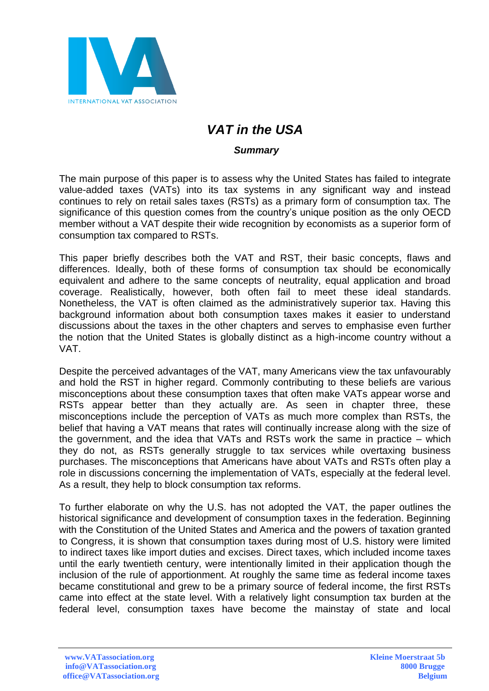

## *VAT in the USA*

## *Summary*

The main purpose of this paper is to assess why the United States has failed to integrate value-added taxes (VATs) into its tax systems in any significant way and instead continues to rely on retail sales taxes (RSTs) as a primary form of consumption tax. The significance of this question comes from the country's unique position as the only OECD member without a VAT despite their wide recognition by economists as a superior form of consumption tax compared to RSTs.

This paper briefly describes both the VAT and RST, their basic concepts, flaws and differences. Ideally, both of these forms of consumption tax should be economically equivalent and adhere to the same concepts of neutrality, equal application and broad coverage. Realistically, however, both often fail to meet these ideal standards. Nonetheless, the VAT is often claimed as the administratively superior tax. Having this background information about both consumption taxes makes it easier to understand discussions about the taxes in the other chapters and serves to emphasise even further the notion that the United States is globally distinct as a high-income country without a VAT.

Despite the perceived advantages of the VAT, many Americans view the tax unfavourably and hold the RST in higher regard. Commonly contributing to these beliefs are various misconceptions about these consumption taxes that often make VATs appear worse and RSTs appear better than they actually are. As seen in chapter three, these misconceptions include the perception of VATs as much more complex than RSTs, the belief that having a VAT means that rates will continually increase along with the size of the government, and the idea that VATs and RSTs work the same in practice – which they do not, as RSTs generally struggle to tax services while overtaxing business purchases. The misconceptions that Americans have about VATs and RSTs often play a role in discussions concerning the implementation of VATs, especially at the federal level. As a result, they help to block consumption tax reforms.

To further elaborate on why the U.S. has not adopted the VAT, the paper outlines the historical significance and development of consumption taxes in the federation. Beginning with the Constitution of the United States and America and the powers of taxation granted to Congress, it is shown that consumption taxes during most of U.S. history were limited to indirect taxes like import duties and excises. Direct taxes, which included income taxes until the early twentieth century, were intentionally limited in their application though the inclusion of the rule of apportionment. At roughly the same time as federal income taxes became constitutional and grew to be a primary source of federal income, the first RSTs came into effect at the state level. With a relatively light consumption tax burden at the federal level, consumption taxes have become the mainstay of state and local